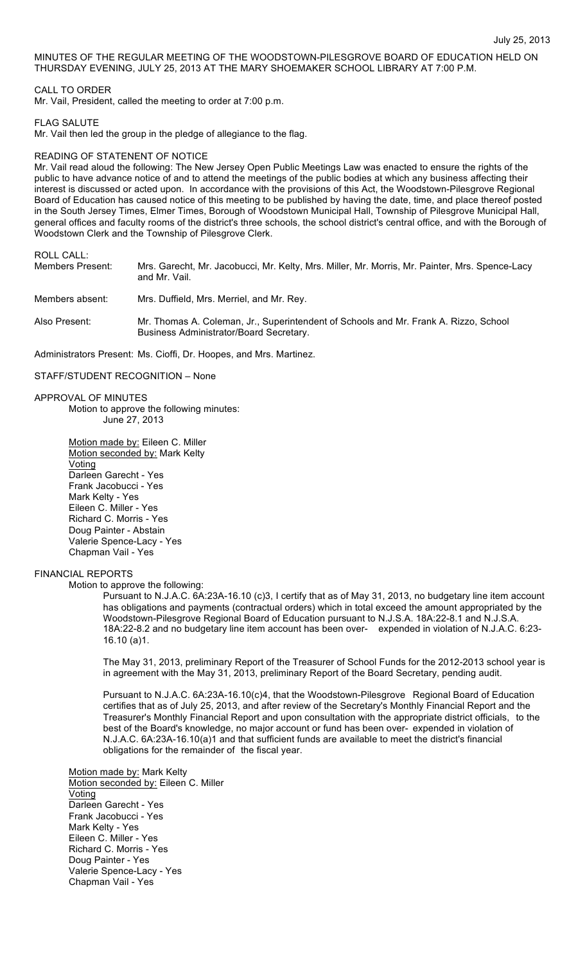MINUTES OF THE REGULAR MEETING OF THE WOODSTOWN-PILESGROVE BOARD OF EDUCATION HELD ON THURSDAY EVENING, JULY 25, 2013 AT THE MARY SHOEMAKER SCHOOL LIBRARY AT 7:00 P.M.

## CALL TO ORDER

Mr. Vail, President, called the meeting to order at 7:00 p.m.

#### FLAG SALUTE

Mr. Vail then led the group in the pledge of allegiance to the flag.

#### READING OF STATENENT OF NOTICE

Mr. Vail read aloud the following: The New Jersey Open Public Meetings Law was enacted to ensure the rights of the public to have advance notice of and to attend the meetings of the public bodies at which any business affecting their interest is discussed or acted upon. In accordance with the provisions of this Act, the Woodstown-Pilesgrove Regional Board of Education has caused notice of this meeting to be published by having the date, time, and place thereof posted in the South Jersey Times, Elmer Times, Borough of Woodstown Municipal Hall, Township of Pilesgrove Municipal Hall, general offices and faculty rooms of the district's three schools, the school district's central office, and with the Borough of Woodstown Clerk and the Township of Pilesgrove Clerk.

## ROLL CALL:

| Members Present: | Mrs. Garecht, Mr. Jacobucci, Mr. Kelty, Mrs. Miller, Mr. Morris, Mr. Painter, Mrs. Spence-Lacy<br>and Mr. Vail. |
|------------------|-----------------------------------------------------------------------------------------------------------------|
| Members absent:  | Mrs. Duffield, Mrs. Merriel, and Mr. Rey.                                                                       |

Also Present: Mr. Thomas A. Coleman, Jr., Superintendent of Schools and Mr. Frank A. Rizzo, School Business Administrator/Board Secretary.

Administrators Present: Ms. Cioffi, Dr. Hoopes, and Mrs. Martinez.

## STAFF/STUDENT RECOGNITION – None

APPROVAL OF MINUTES

Motion to approve the following minutes: June 27, 2013

Motion made by: Eileen C. Miller Motion seconded by: Mark Kelty **Voting** Darleen Garecht - Yes Frank Jacobucci - Yes Mark Kelty - Yes Eileen C. Miller - Yes Richard C. Morris - Yes Doug Painter - Abstain Valerie Spence-Lacy - Yes Chapman Vail - Yes

#### FINANCIAL REPORTS

Motion to approve the following:

Pursuant to N.J.A.C. 6A:23A-16.10 (c)3, I certify that as of May 31, 2013, no budgetary line item account has obligations and payments (contractual orders) which in total exceed the amount appropriated by the Woodstown-Pilesgrove Regional Board of Education pursuant to N.J.S.A. 18A:22-8.1 and N.J.S.A. 18A:22-8.2 and no budgetary line item account has been over- expended in violation of N.J.A.C. 6:23- 16.10 (a)1.

The May 31, 2013, preliminary Report of the Treasurer of School Funds for the 2012-2013 school year is in agreement with the May 31, 2013, preliminary Report of the Board Secretary, pending audit.

Pursuant to N.J.A.C. 6A:23A-16.10(c)4, that the Woodstown-Pilesgrove Regional Board of Education certifies that as of July 25, 2013, and after review of the Secretary's Monthly Financial Report and the Treasurer's Monthly Financial Report and upon consultation with the appropriate district officials, to the best of the Board's knowledge, no major account or fund has been over- expended in violation of N.J.A.C. 6A:23A-16.10(a)1 and that sufficient funds are available to meet the district's financial obligations for the remainder of the fiscal year.

Motion made by: Mark Kelty Motion seconded by: Eileen C. Miller Voting Darleen Garecht - Yes Frank Jacobucci - Yes Mark Kelty - Yes Eileen C. Miller - Yes Richard C. Morris - Yes Doug Painter - Yes Valerie Spence-Lacy - Yes Chapman Vail - Yes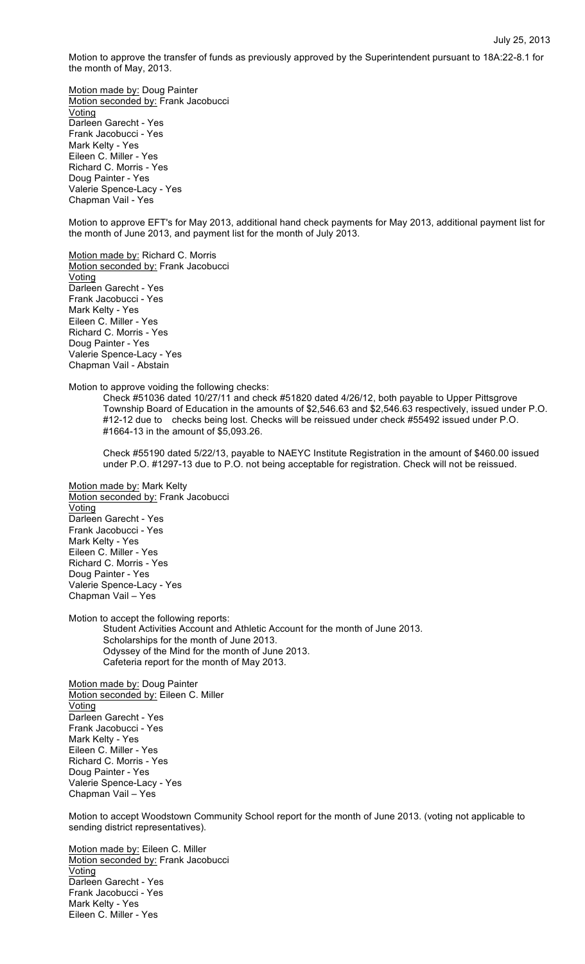Motion to approve the transfer of funds as previously approved by the Superintendent pursuant to 18A:22-8.1 for the month of May, 2013.

Motion made by: Doug Painter Motion seconded by: Frank Jacobucci Voting Darleen Garecht - Yes Frank Jacobucci - Yes Mark Kelty - Yes Eileen C. Miller - Yes Richard C. Morris - Yes Doug Painter - Yes Valerie Spence-Lacy - Yes Chapman Vail - Yes

Motion to approve EFT's for May 2013, additional hand check payments for May 2013, additional payment list for the month of June 2013, and payment list for the month of July 2013.

Motion made by: Richard C. Morris Motion seconded by: Frank Jacobucci Voting Darleen Garecht - Yes Frank Jacobucci - Yes Mark Kelty - Yes Eileen C. Miller - Yes Richard C. Morris - Yes Doug Painter - Yes Valerie Spence-Lacy - Yes Chapman Vail - Abstain

Motion to approve voiding the following checks:

Check #51036 dated 10/27/11 and check #51820 dated 4/26/12, both payable to Upper Pittsgrove Township Board of Education in the amounts of \$2,546.63 and \$2,546.63 respectively, issued under P.O. #12-12 due to checks being lost. Checks will be reissued under check #55492 issued under P.O. #1664-13 in the amount of \$5,093.26.

Check #55190 dated 5/22/13, payable to NAEYC Institute Registration in the amount of \$460.00 issued under P.O. #1297-13 due to P.O. not being acceptable for registration. Check will not be reissued.

Motion made by: Mark Kelty Motion seconded by: Frank Jacobucci Voting Darleen Garecht - Yes Frank Jacobucci - Yes Mark Kelty - Yes Eileen C. Miller - Yes Richard C. Morris - Yes Doug Painter - Yes Valerie Spence-Lacy - Yes Chapman Vail – Yes

Motion to accept the following reports: Student Activities Account and Athletic Account for the month of June 2013. Scholarships for the month of June 2013. Odyssey of the Mind for the month of June 2013. Cafeteria report for the month of May 2013.

Motion made by: Doug Painter Motion seconded by: Eileen C. Miller **Voting** Darleen Garecht - Yes Frank Jacobucci - Yes Mark Kelty - Yes Eileen C. Miller - Yes Richard C. Morris - Yes Doug Painter - Yes Valerie Spence-Lacy - Yes Chapman Vail – Yes

Motion to accept Woodstown Community School report for the month of June 2013. (voting not applicable to sending district representatives).

Motion made by: Eileen C. Miller Motion seconded by: Frank Jacobucci Voting Darleen Garecht - Yes Frank Jacobucci - Yes Mark Kelty - Yes Eileen C. Miller - Yes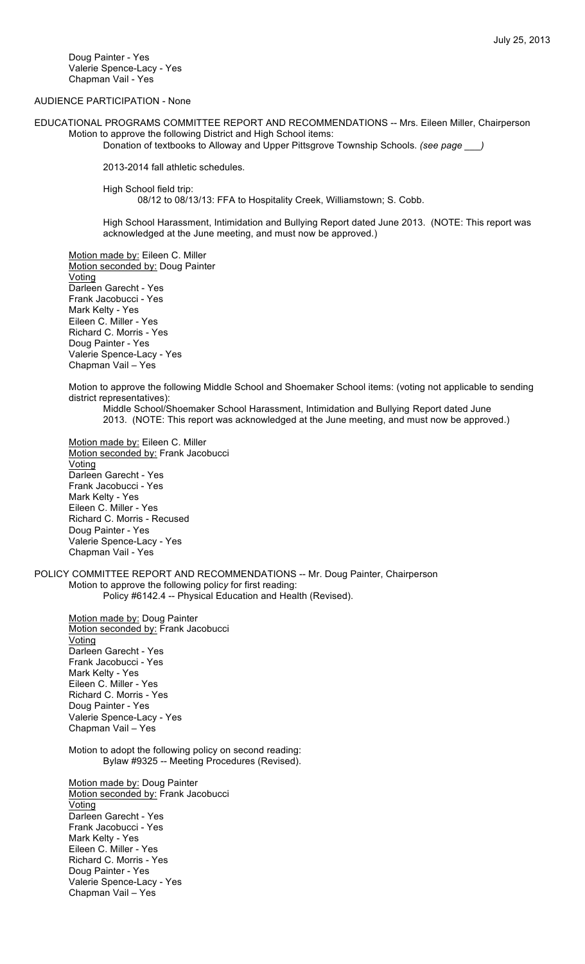Doug Painter - Yes Valerie Spence-Lacy - Yes Chapman Vail - Yes

# AUDIENCE PARTICIPATION - None

EDUCATIONAL PROGRAMS COMMITTEE REPORT AND RECOMMENDATIONS -- Mrs. Eileen Miller, Chairperson Motion to approve the following District and High School items:

Donation of textbooks to Alloway and Upper Pittsgrove Township Schools. *(see page \_\_\_)*

2013-2014 fall athletic schedules.

High School field trip: 08/12 to 08/13/13: FFA to Hospitality Creek, Williamstown; S. Cobb.

High School Harassment, Intimidation and Bullying Report dated June 2013. (NOTE: This report was acknowledged at the June meeting, and must now be approved.)

Motion made by: Eileen C. Miller Motion seconded by: Doug Painter Voting Darleen Garecht - Yes Frank Jacobucci - Yes Mark Kelty - Yes Eileen C. Miller - Yes Richard C. Morris - Yes Doug Painter - Yes Valerie Spence-Lacy - Yes Chapman Vail – Yes

Motion to approve the following Middle School and Shoemaker School items: (voting not applicable to sending district representatives):

Middle School/Shoemaker School Harassment, Intimidation and Bullying Report dated June 2013. (NOTE: This report was acknowledged at the June meeting, and must now be approved.)

Motion made by: Eileen C. Miller Motion seconded by: Frank Jacobucci **Voting** Darleen Garecht - Yes Frank Jacobucci - Yes Mark Kelty - Yes Eileen C. Miller - Yes Richard C. Morris - Recused Doug Painter - Yes Valerie Spence-Lacy - Yes Chapman Vail - Yes

POLICY COMMITTEE REPORT AND RECOMMENDATIONS -- Mr. Doug Painter, Chairperson Motion to approve the following polic*y* for first reading: Policy #6142.4 -- Physical Education and Health (Revised).

Motion made by: Doug Painter Motion seconded by: Frank Jacobucci Voting Darleen Garecht - Yes Frank Jacobucci - Yes Mark Kelty - Yes Eileen C. Miller - Yes Richard C. Morris - Yes Doug Painter - Yes Valerie Spence-Lacy - Yes Chapman Vail – Yes

Motion to adopt the following policy on second reading: Bylaw #9325 -- Meeting Procedures (Revised).

Motion made by: Doug Painter Motion seconded by: Frank Jacobucci **Voting** Darleen Garecht - Yes Frank Jacobucci - Yes Mark Kelty - Yes Eileen C. Miller - Yes Richard C. Morris - Yes Doug Painter - Yes Valerie Spence-Lacy - Yes Chapman Vail – Yes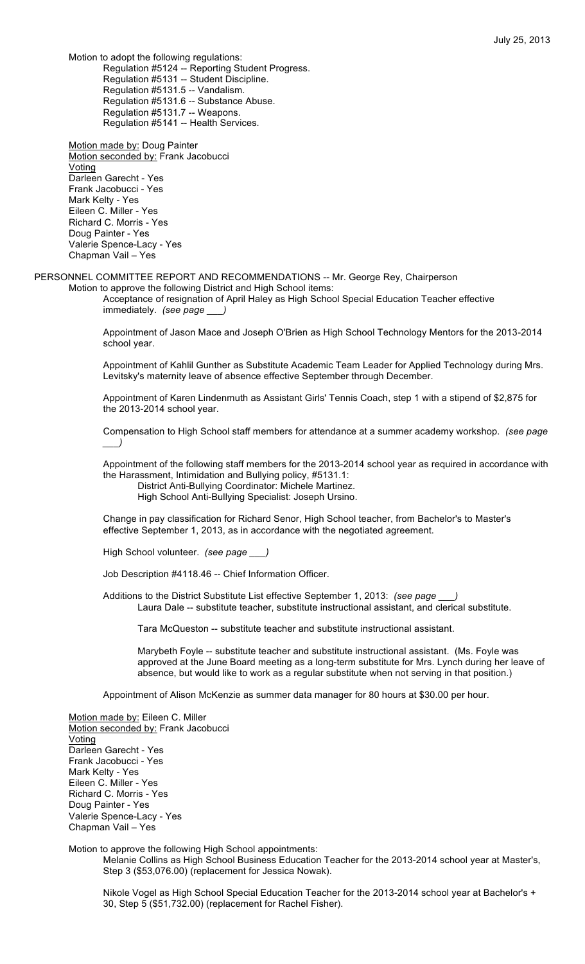Motion to adopt the following regulations: Regulation #5124 -- Reporting Student Progress. Regulation #5131 -- Student Discipline. Regulation #5131.5 -- Vandalism. Regulation #5131.6 -- Substance Abuse.

> Regulation #5131.7 -- Weapons. Regulation #5141 -- Health Services.

Motion made by: Doug Painter Motion seconded by: Frank Jacobucci Voting Darleen Garecht - Yes Frank Jacobucci - Yes Mark Kelty - Yes Eileen C. Miller - Yes Richard C. Morris - Yes Doug Painter - Yes Valerie Spence-Lacy - Yes Chapman Vail – Yes

PERSONNEL COMMITTEE REPORT AND RECOMMENDATIONS -- Mr. George Rey, Chairperson Motion to approve the following District and High School items:

Acceptance of resignation of April Haley as High School Special Education Teacher effective immediately. *(see page \_\_\_)*

Appointment of Jason Mace and Joseph O'Brien as High School Technology Mentors for the 2013-2014 school year.

Appointment of Kahlil Gunther as Substitute Academic Team Leader for Applied Technology during Mrs. Levitsky's maternity leave of absence effective September through December.

Appointment of Karen Lindenmuth as Assistant Girls' Tennis Coach, step 1 with a stipend of \$2,875 for the 2013-2014 school year.

Compensation to High School staff members for attendance at a summer academy workshop. *(see page \_\_\_)*

Appointment of the following staff members for the 2013-2014 school year as required in accordance with the Harassment, Intimidation and Bullying policy, #5131.1:

District Anti-Bullying Coordinator: Michele Martinez. High School Anti-Bullying Specialist: Joseph Ursino.

Change in pay classification for Richard Senor, High School teacher, from Bachelor's to Master's effective September 1, 2013, as in accordance with the negotiated agreement.

High School volunteer. *(see page \_\_\_)*

Job Description #4118.46 -- Chief Information Officer.

Additions to the District Substitute List effective September 1, 2013: *(see page \_\_\_)* Laura Dale -- substitute teacher, substitute instructional assistant, and clerical substitute.

Tara McQueston -- substitute teacher and substitute instructional assistant.

Marybeth Foyle -- substitute teacher and substitute instructional assistant. (Ms. Foyle was approved at the June Board meeting as a long-term substitute for Mrs. Lynch during her leave of absence, but would like to work as a regular substitute when not serving in that position.)

Appointment of Alison McKenzie as summer data manager for 80 hours at \$30.00 per hour.

Motion made by: Eileen C. Miller Motion seconded by: Frank Jacobucci Voting Darleen Garecht - Yes Frank Jacobucci - Yes Mark Kelty - Yes Eileen C. Miller - Yes Richard C. Morris - Yes Doug Painter - Yes Valerie Spence-Lacy - Yes Chapman Vail – Yes

Motion to approve the following High School appointments:

Melanie Collins as High School Business Education Teacher for the 2013-2014 school year at Master's, Step 3 (\$53,076.00) (replacement for Jessica Nowak).

Nikole Vogel as High School Special Education Teacher for the 2013-2014 school year at Bachelor's + 30, Step 5 (\$51,732.00) (replacement for Rachel Fisher).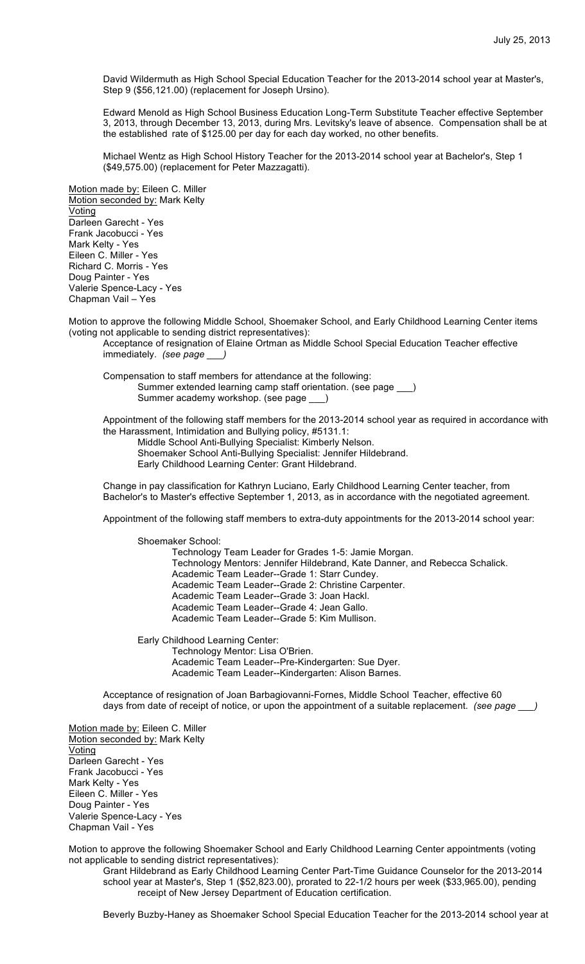David Wildermuth as High School Special Education Teacher for the 2013-2014 school year at Master's, Step 9 (\$56,121.00) (replacement for Joseph Ursino).

Edward Menold as High School Business Education Long-Term Substitute Teacher effective September 3, 2013, through December 13, 2013, during Mrs. Levitsky's leave of absence. Compensation shall be at the established rate of \$125.00 per day for each day worked, no other benefits.

Michael Wentz as High School History Teacher for the 2013-2014 school year at Bachelor's, Step 1 (\$49,575.00) (replacement for Peter Mazzagatti).

Motion made by: Eileen C. Miller Motion seconded by: Mark Kelty Voting Darleen Garecht - Yes Frank Jacobucci - Yes Mark Kelty - Yes Eileen C. Miller - Yes Richard C. Morris - Yes Doug Painter - Yes Valerie Spence-Lacy - Yes Chapman Vail – Yes

Motion to approve the following Middle School, Shoemaker School, and Early Childhood Learning Center items (voting not applicable to sending district representatives):

Acceptance of resignation of Elaine Ortman as Middle School Special Education Teacher effective immediately. *(see page \_\_\_)*

Compensation to staff members for attendance at the following: Summer extended learning camp staff orientation. (see page \_\_\_) Summer academy workshop. (see page \_\_\_)

Appointment of the following staff members for the 2013-2014 school year as required in accordance with the Harassment, Intimidation and Bullying policy, #5131.1:

Middle School Anti-Bullying Specialist: Kimberly Nelson. Shoemaker School Anti-Bullying Specialist: Jennifer Hildebrand. Early Childhood Learning Center: Grant Hildebrand.

Change in pay classification for Kathryn Luciano, Early Childhood Learning Center teacher, from Bachelor's to Master's effective September 1, 2013, as in accordance with the negotiated agreement.

Appointment of the following staff members to extra-duty appointments for the 2013-2014 school year:

Shoemaker School:

Technology Team Leader for Grades 1-5: Jamie Morgan. Technology Mentors: Jennifer Hildebrand, Kate Danner, and Rebecca Schalick. Academic Team Leader--Grade 1: Starr Cundey. Academic Team Leader--Grade 2: Christine Carpenter. Academic Team Leader--Grade 3: Joan Hackl. Academic Team Leader--Grade 4: Jean Gallo. Academic Team Leader--Grade 5: Kim Mullison.

Early Childhood Learning Center: Technology Mentor: Lisa O'Brien. Academic Team Leader--Pre-Kindergarten: Sue Dyer. Academic Team Leader--Kindergarten: Alison Barnes.

Acceptance of resignation of Joan Barbagiovanni-Fornes, Middle School Teacher, effective 60 days from date of receipt of notice, or upon the appointment of a suitable replacement. *(see page \_\_\_)*

Motion made by: Eileen C. Miller Motion seconded by: Mark Kelty Voting Darleen Garecht - Yes Frank Jacobucci - Yes Mark Kelty - Yes Eileen C. Miller - Yes Doug Painter - Yes Valerie Spence-Lacy - Yes Chapman Vail - Yes

Motion to approve the following Shoemaker School and Early Childhood Learning Center appointments (voting not applicable to sending district representatives):

Grant Hildebrand as Early Childhood Learning Center Part-Time Guidance Counselor for the 2013-2014 school year at Master's, Step 1 (\$52,823.00), prorated to 22-1/2 hours per week (\$33,965.00), pending receipt of New Jersey Department of Education certification.

Beverly Buzby-Haney as Shoemaker School Special Education Teacher for the 2013-2014 school year at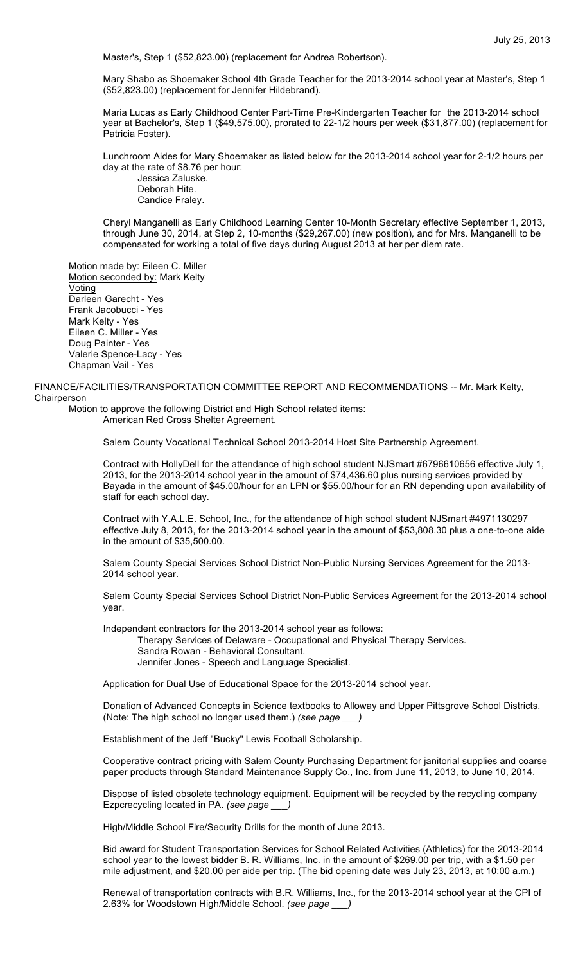Master's, Step 1 (\$52,823.00) (replacement for Andrea Robertson).

Mary Shabo as Shoemaker School 4th Grade Teacher for the 2013-2014 school year at Master's, Step 1 (\$52,823.00) (replacement for Jennifer Hildebrand).

Maria Lucas as Early Childhood Center Part-Time Pre-Kindergarten Teacher for the 2013-2014 school year at Bachelor's, Step 1 (\$49,575.00), prorated to 22-1/2 hours per week (\$31,877.00) (replacement for Patricia Foster).

Lunchroom Aides for Mary Shoemaker as listed below for the 2013-2014 school year for 2-1/2 hours per day at the rate of \$8.76 per hour:

Jessica Zaluske. Deborah Hite. Candice Fraley.

Cheryl Manganelli as Early Childhood Learning Center 10-Month Secretary effective September 1, 2013, through June 30, 2014, at Step 2, 10-months (\$29,267.00) (new position)*,* and for Mrs. Manganelli to be compensated for working a total of five days during August 2013 at her per diem rate.

Motion made by: Eileen C. Miller Motion seconded by: Mark Kelty Voting Darleen Garecht - Yes Frank Jacobucci - Yes Mark Kelty - Yes Eileen C. Miller - Yes Doug Painter - Yes Valerie Spence-Lacy - Yes Chapman Vail - Yes

FINANCE/FACILITIES/TRANSPORTATION COMMITTEE REPORT AND RECOMMENDATIONS -- Mr. Mark Kelty, Chairperson

Motion to approve the following District and High School related items: American Red Cross Shelter Agreement.

Salem County Vocational Technical School 2013-2014 Host Site Partnership Agreement.

Contract with HollyDell for the attendance of high school student NJSmart #6796610656 effective July 1, 2013, for the 2013-2014 school year in the amount of \$74,436.60 plus nursing services provided by Bayada in the amount of \$45.00/hour for an LPN or \$55.00/hour for an RN depending upon availability of staff for each school day.

Contract with Y.A.L.E. School, Inc., for the attendance of high school student NJSmart #4971130297 effective July 8, 2013, for the 2013-2014 school year in the amount of \$53,808.30 plus a one-to-one aide in the amount of \$35,500.00.

Salem County Special Services School District Non-Public Nursing Services Agreement for the 2013- 2014 school year.

Salem County Special Services School District Non-Public Services Agreement for the 2013-2014 school year.

Independent contractors for the 2013-2014 school year as follows:

Therapy Services of Delaware - Occupational and Physical Therapy Services. Sandra Rowan - Behavioral Consultant. Jennifer Jones - Speech and Language Specialist.

Application for Dual Use of Educational Space for the 2013-2014 school year.

Donation of Advanced Concepts in Science textbooks to Alloway and Upper Pittsgrove School Districts. (Note: The high school no longer used them.) *(see page \_\_\_)*

Establishment of the Jeff "Bucky" Lewis Football Scholarship.

Cooperative contract pricing with Salem County Purchasing Department for janitorial supplies and coarse paper products through Standard Maintenance Supply Co., Inc. from June 11, 2013, to June 10, 2014.

Dispose of listed obsolete technology equipment. Equipment will be recycled by the recycling company Ezpcrecycling located in PA. *(see page \_\_\_)*

High/Middle School Fire/Security Drills for the month of June 2013.

Bid award for Student Transportation Services for School Related Activities (Athletics) for the 2013-2014 school year to the lowest bidder B. R. Williams, Inc. in the amount of \$269.00 per trip, with a \$1.50 per mile adjustment, and \$20.00 per aide per trip. (The bid opening date was July 23, 2013, at 10:00 a.m.)

Renewal of transportation contracts with B.R. Williams, Inc., for the 2013-2014 school year at the CPI of 2.63% for Woodstown High/Middle School. *(see page \_\_\_)*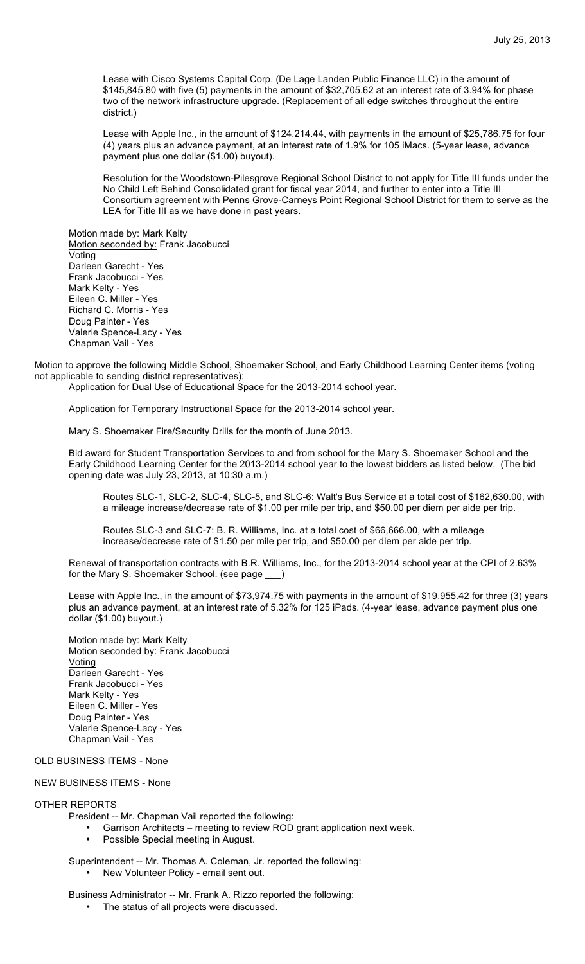Lease with Cisco Systems Capital Corp. (De Lage Landen Public Finance LLC) in the amount of \$145,845.80 with five (5) payments in the amount of \$32,705.62 at an interest rate of 3.94% for phase two of the network infrastructure upgrade. (Replacement of all edge switches throughout the entire district.)

Lease with Apple Inc., in the amount of \$124,214.44, with payments in the amount of \$25,786.75 for four (4) years plus an advance payment, at an interest rate of 1.9% for 105 iMacs. (5-year lease, advance payment plus one dollar (\$1.00) buyout).

Resolution for the Woodstown-Pilesgrove Regional School District to not apply for Title III funds under the No Child Left Behind Consolidated grant for fiscal year 2014, and further to enter into a Title III Consortium agreement with Penns Grove-Carneys Point Regional School District for them to serve as the LEA for Title III as we have done in past years.

Motion made by: Mark Kelty

Motion seconded by: Frank Jacobucci **Voting** Darleen Garecht - Yes Frank Jacobucci - Yes Mark Kelty - Yes Eileen C. Miller - Yes Richard C. Morris - Yes Doug Painter - Yes Valerie Spence-Lacy - Yes Chapman Vail - Yes

Motion to approve the following Middle School, Shoemaker School, and Early Childhood Learning Center items (voting not applicable to sending district representatives):

Application for Dual Use of Educational Space for the 2013-2014 school year.

Application for Temporary Instructional Space for the 2013-2014 school year.

Mary S. Shoemaker Fire/Security Drills for the month of June 2013.

Bid award for Student Transportation Services to and from school for the Mary S. Shoemaker School and the Early Childhood Learning Center for the 2013-2014 school year to the lowest bidders as listed below. (The bid opening date was July 23, 2013, at 10:30 a.m.)

Routes SLC-1, SLC-2, SLC-4, SLC-5, and SLC-6: Walt's Bus Service at a total cost of \$162,630.00, with a mileage increase/decrease rate of \$1.00 per mile per trip, and \$50.00 per diem per aide per trip.

Routes SLC-3 and SLC-7: B. R. Williams, Inc. at a total cost of \$66,666.00, with a mileage increase/decrease rate of \$1.50 per mile per trip, and \$50.00 per diem per aide per trip.

Renewal of transportation contracts with B.R. Williams, Inc., for the 2013-2014 school year at the CPI of 2.63% for the Mary S. Shoemaker School. (see page

Lease with Apple Inc., in the amount of \$73,974.75 with payments in the amount of \$19,955.42 for three (3) years plus an advance payment, at an interest rate of 5.32% for 125 iPads. (4-year lease, advance payment plus one dollar (\$1.00) buyout.)

Motion made by: Mark Kelty Motion seconded by: Frank Jacobucci Voting Darleen Garecht - Yes Frank Jacobucci - Yes Mark Kelty - Yes Eileen C. Miller - Yes Doug Painter - Yes Valerie Spence-Lacy - Yes Chapman Vail - Yes

## OLD BUSINESS ITEMS - None

## NEW BUSINESS ITEMS - None

## OTHER REPORTS

President -- Mr. Chapman Vail reported the following:

- Garrison Architects meeting to review ROD grant application next week.
- Possible Special meeting in August.

Superintendent -- Mr. Thomas A. Coleman, Jr. reported the following:

• New Volunteer Policy - email sent out.

Business Administrator -- Mr. Frank A. Rizzo reported the following:

The status of all projects were discussed.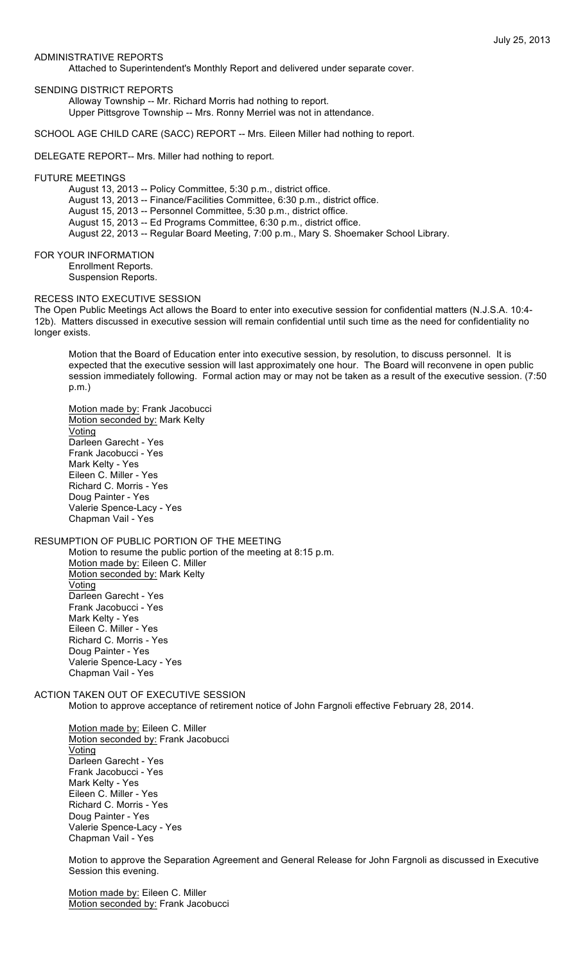#### ADMINISTRATIVE REPORTS

Attached to Superintendent's Monthly Report and delivered under separate cover.

#### SENDING DISTRICT REPORTS

Alloway Township -- Mr. Richard Morris had nothing to report. Upper Pittsgrove Township -- Mrs. Ronny Merriel was not in attendance.

SCHOOL AGE CHILD CARE (SACC) REPORT -- Mrs. Eileen Miller had nothing to report.

DELEGATE REPORT-- Mrs. Miller had nothing to report.

FUTURE MEETINGS

August 13, 2013 -- Policy Committee, 5:30 p.m., district office. August 13, 2013 -- Finance/Facilities Committee, 6:30 p.m., district office. August 15, 2013 -- Personnel Committee, 5:30 p.m., district office. August 15, 2013 -- Ed Programs Committee, 6:30 p.m., district office. August 22, 2013 -- Regular Board Meeting, 7:00 p.m., Mary S. Shoemaker School Library.

FOR YOUR INFORMATION

Enrollment Reports. Suspension Reports.

## RECESS INTO EXECUTIVE SESSION

The Open Public Meetings Act allows the Board to enter into executive session for confidential matters (N.J.S.A. 10:4- 12b). Matters discussed in executive session will remain confidential until such time as the need for confidentiality no longer exists.

Motion that the Board of Education enter into executive session, by resolution, to discuss personnel. It is expected that the executive session will last approximately one hour. The Board will reconvene in open public session immediately following. Formal action may or may not be taken as a result of the executive session. (7:50 p.m.)

Motion made by: Frank Jacobucci Motion seconded by: Mark Kelty Voting Darleen Garecht - Yes Frank Jacobucci - Yes Mark Kelty - Yes Eileen C. Miller - Yes Richard C. Morris - Yes Doug Painter - Yes Valerie Spence-Lacy - Yes Chapman Vail - Yes

# RESUMPTION OF PUBLIC PORTION OF THE MEETING

Motion to resume the public portion of the meeting at 8:15 p.m. Motion made by: Eileen C. Miller Motion seconded by: Mark Kelty Voting Darleen Garecht - Yes Frank Jacobucci - Yes Mark Kelty - Yes Eileen C. Miller - Yes Richard C. Morris - Yes Doug Painter - Yes Valerie Spence-Lacy - Yes Chapman Vail - Yes

#### ACTION TAKEN OUT OF EXECUTIVE SESSION

Motion to approve acceptance of retirement notice of John Fargnoli effective February 28, 2014.

Motion made by: Eileen C. Miller Motion seconded by: Frank Jacobucci Voting Darleen Garecht - Yes Frank Jacobucci - Yes Mark Kelty - Yes Eileen C. Miller - Yes Richard C. Morris - Yes Doug Painter - Yes Valerie Spence-Lacy - Yes Chapman Vail - Yes

Motion to approve the Separation Agreement and General Release for John Fargnoli as discussed in Executive Session this evening.

Motion made by: Eileen C. Miller Motion seconded by: Frank Jacobucci